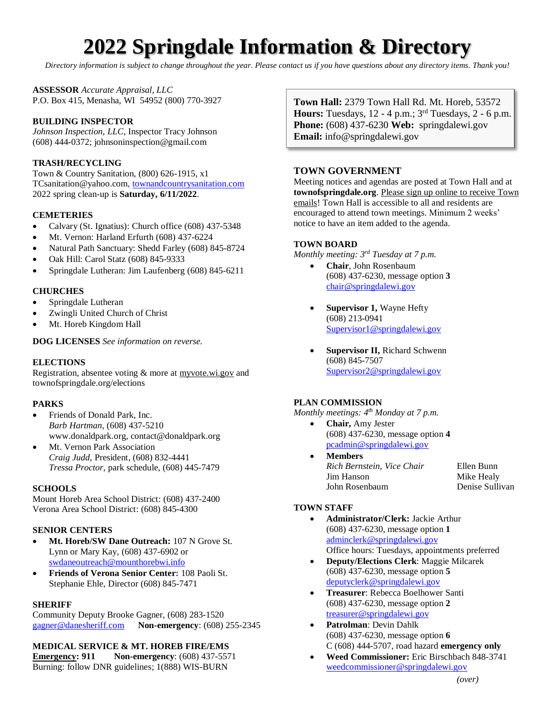# **2022 Springdale Information & Directory**

*Directory information is subject to change throughout the year. Please contact us if you have questions about any directory items. Thank you!*

**ASSESSOR** *Accurate Appraisal, LLC* P.O. Box 415, Menasha, WI 54952 (800) 770-3927

## **BUILDING INSPECTOR**

*Johnson Inspection, LLC*, Inspector Tracy Johnson (608) 444-0372; johnsoninspection@gmail.com

## **TRASH/RECYCLING**

Town & Country Sanitation, (800) 626-1915, x1 TCsanitation@yahoo.com, townandcountrysanitation.com 2022 spring clean-up is **Saturday, 6/11/2022**.

#### **CEMETERIES**

- Calvary (St. Ignatius): Church office (608) 437-5348
- Mt. Vernon: Harland Erfurth (608) 437-6224
- Natural Path Sanctuary: Shedd Farley (608) 845-8724
- Oak Hill: Carol Statz (608) 845-9333
- Springdale Lutheran: Jim Laufenberg (608) 845-6211

## **CHURCHES**

- Springdale Lutheran
- Zwingli United Church of Christ
- Mt. Horeb Kingdom Hall

#### **DOG LICENSES** *See information on reverse.*

#### **ELECTIONS**

Registration, absentee voting & more at myvote.wi.gov and townofspringdale.org/elections

#### **PARKS**

- Friends of Donald Park, Inc. *Barb Hartman*, (608) 437-5210 www.donaldpark.org, contact@donaldpark.org
- Mt. Vernon Park Association *Craig Judd*, President, (608) 832-4441 *Tressa Proctor*, park schedule, (608) 445-7479

#### **SCHOOLS**

Mount Horeb Area School District: (608) 437-2400 Verona Area School District: (608) 845-4300

#### **SENIOR CENTERS**

- **Mt. Horeb/SW Dane Outreach:** 107 N Grove St. Lynn or Mary Kay, (608) 437-6902 or [swdaneoutreach@mounthorebwi.info](mailto:swdaneoutreach@mounthorebwi.info)
- **Friends of Verona Senior Center:** 108 Paoli St. Stephanie Ehle, Director (608) 845-7471

#### **SHERIFF**

Community Deputy Brooke Gagner, (608) 283-1520 [gagner@danesheriff.com](mailto:gagner@danesheriff.com) **Non-emergency**: (608) 255-2345

## **MEDICAL SERVICE & MT. HOREB FIRE/EMS**

**Emergency: 911** Non-emergency: (608) 437-5571 Burning: follow DNR guidelines; 1(888) WIS-BURN

**Town Hall:** 2379 Town Hall Rd. Mt. Horeb, 53572 **Hours:** Tuesdays, 12 - 4 p.m.; 3 rd Tuesdays, 2 - 6 p.m. **Phone:** (608) 437-6230 **Web:** springdalewi.gov **Email:** info@springdalewi.gov

## **TOWN GOVERNMENT**

Meeting notices and agendas are posted at Town Hall and at **townofspringdale.org**. Please sign up online to receive Town emails! Town Hall is accessible to all and residents are encouraged to attend town meetings. Minimum 2 weeks' notice to have an item added to the agenda.

## **TOWN BOARD**

*Monthly meeting: 3rd Tuesday at 7 p.m.*

- **Chair**, John Rosenbaum (608) 437-6230, message option **3** chair@springdalewi.gov
- **Supervisor 1,** Wayne Hefty (608) 213-0941 Supervisor1@springdalewi.gov
- **Supervisor II,** Richard Schwenn (608) 845-7507 Supervisor2@springdalewi.gov

## **PLAN COMMISSION**

*Monthly meetings: 4th Monday at 7 p.m.*

- **Chair,** Amy Jester (608) 437-6230, message option **4** pcadmin@springdalewi.gov
- **Members** *Rich Bernstein, Vice Chair* Ellen Bunn Jim Hanson Mike Healy John Rosenbaum Denise Sullivan

## **TOWN STAFF**

- **Administrator/Clerk:** Jackie Arthur (608) 437-6230, message option **1** adminclerk@springdalewi.gov Office hours: Tuesdays, appointments preferred
- **Deputy/Elections Clerk**: Maggie Milcarek (608) 437-6230, message option **5** deputyclerk@springdalewi.gov
- **Treasurer**: Rebecca Boelhower Santi (608) 437-6230, message option **2** [treasurer@springdalewi.gov](mailto:treasurer@springdalewi.gov)
- **Patrolman**: Devin Dahlk (608) 437-6230, message option **6** C (608) 444-5707, road hazard **emergency only**
- **Weed Commissioner:** Eric Birschbach 848-3741 <weedcommissioner@springdalewi.gov>